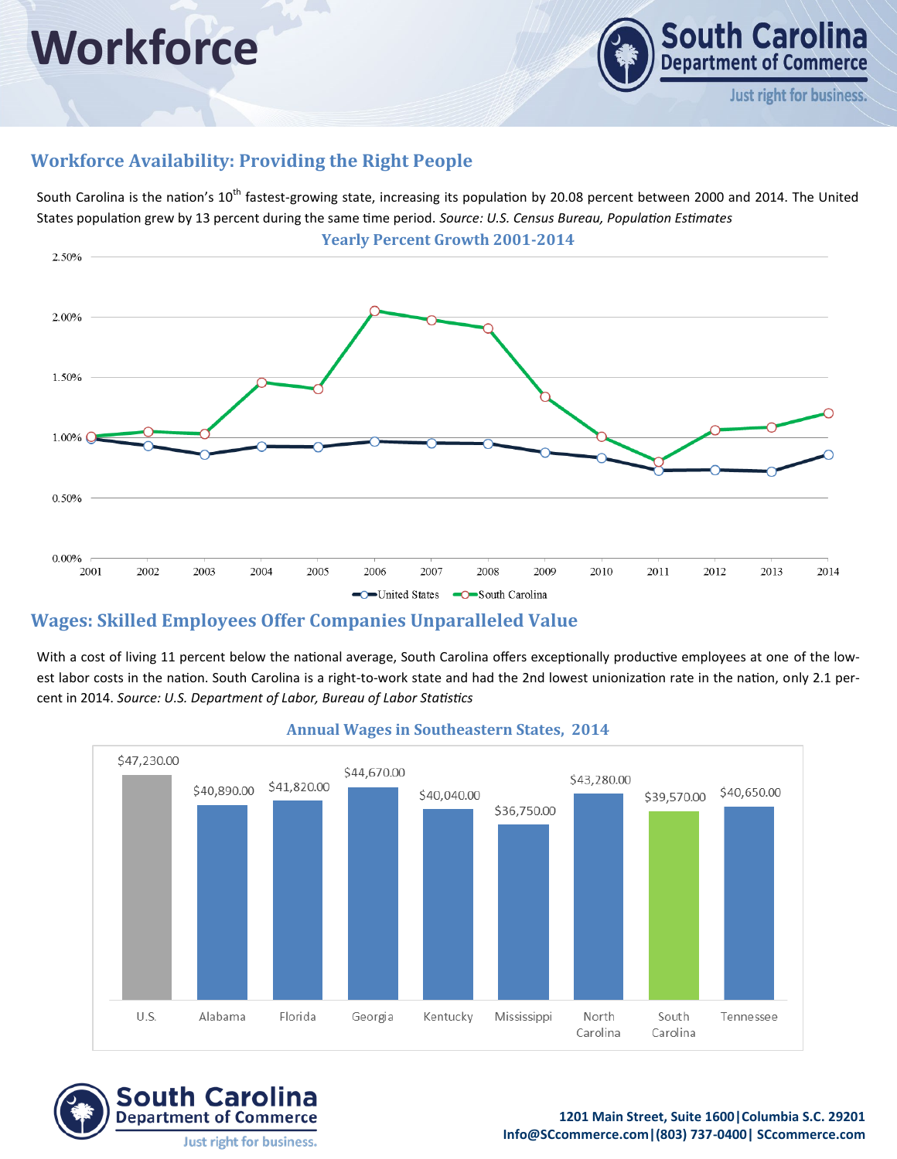# **Workforce**



## **Workforce Availability: Providing the Right People**

South Carolina is the nation's 10<sup>th</sup> fastest-growing state, increasing its population by 20.08 percent between 2000 and 2014. The United States population grew by 13 percent during the same time period. *Source: U.S. Census Bureau, Population Estimates*



## **Wages: Skilled Employees Offer Companies Unparalleled Value**

With a cost of living 11 percent below the national average, South Carolina offers exceptionally productive employees at one of the lowest labor costs in the nation. South Carolina is a right-to-work state and had the 2nd lowest unionization rate in the nation, only 2.1 percent in 2014. *Source: U.S. Department of Labor, Bureau of Labor Statistics*



#### **Annual Wages in Southeastern States, 2014**